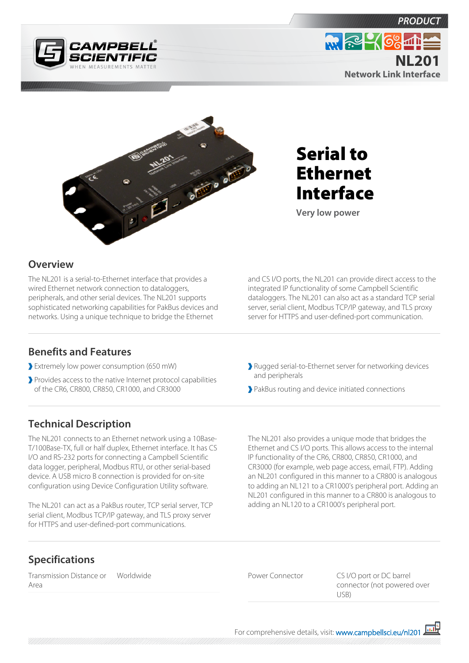



Serial to Ethernet Interface

**Very low power**

## **Overview**

The NL201 is a serial-to-Ethernet interface that provides a wired Ethernet network connection to dataloggers, peripherals, and other serial devices. The NL201 supports sophisticated networking capabilities for PakBus devices and networks. Using a unique technique to bridge the Ethernet

and CS I/O ports, the NL201 can provide direct access to the integrated IP functionality of some Campbell Scientific dataloggers. The NL201 can also act as a standard TCP serial server, serial client, Modbus TCP/IP gateway, and TLS proxy server for HTTPS and user-defined-port communication.

## **Benefits and Features**

- Extremely low power consumption (650 mW)
- Provides access to the native Internet protocol capabilities of the CR6, CR800, CR850, CR1000, and CR3000
- Rugged serial-to-Ethernet server for networking devices and peripherals
- PakBus routing and device initiated connections

## **Technical Description**

The NL201 connects to an Ethernet network using a 10Base-T/100Base-TX, full or half duplex, Ethernet interface. It has CS I/O and RS-232 ports for connecting a Campbell Scientific data logger, peripheral, Modbus RTU, or other serial-based device. A USB micro B connection is provided for on-site configuration using Device Configuration Utility software.

The NL201 can act as a PakBus router, TCP serial server, TCP serial client, Modbus TCP/IP gateway, and TLS proxy server for HTTPS and user-defined-port communications.

The NL201 also provides a unique mode that bridges the Ethernet and CS I/O ports. This allows access to the internal IP functionality of the CR6, CR800, CR850, CR1000, and CR3000 (for example, web page access, email, FTP). Adding an NL201 configured in this manner to a CR800 is analogous to adding an NL121 to a CR1000's peripheral port. Adding an NL201 configured in this manner to a CR800 is analogous to adding an NL120 to a CR1000's peripheral port.

## **Specifications**

Transmission Distance or Area

Worldwide **Power Connector** CS I/O port or DC barrel connector (not powered over USB)